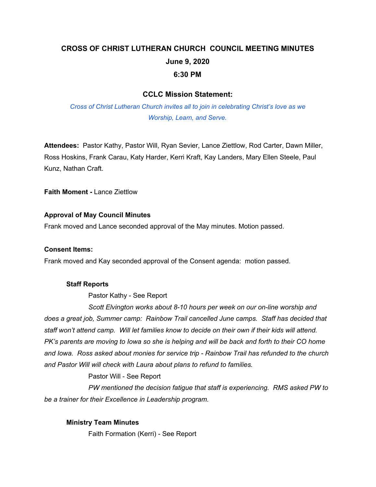# **CROSS OF CHRIST LUTHERAN CHURCH COUNCIL MEETING MINUTES June 9, 2020 6:30 PM**

# **CCLC Mission Statement:**

*Cross of Christ Lutheran Church invites all to join in celebrating Christ's love as we Worship, Learn, and Serve.*

**Attendees:** Pastor Kathy, Pastor Will, Ryan Sevier, Lance Ziettlow, Rod Carter, Dawn Miller, Ross Hoskins, Frank Carau, Katy Harder, Kerri Kraft, Kay Landers, Mary Ellen Steele, Paul Kunz, Nathan Craft.

**Faith Moment -** Lance Ziettlow

## **Approval of May Council Minutes**

Frank moved and Lance seconded approval of the May minutes. Motion passed.

#### **Consent Items:**

Frank moved and Kay seconded approval of the Consent agenda: motion passed.

#### **Staff Reports**

Pastor Kathy - See Report

*Scott Elvington works about 8-10 hours per week on our on-line worship and does a great job, Summer camp: Rainbow Trail cancelled June camps. Staff has decided that staff won't attend camp. Will let families know to decide on their own if their kids will attend.* PK's parents are moving to lowa so she is helping and will be back and forth to their CO home *and Iowa. Ross asked about monies for service trip - Rainbow Trail has refunded to the church and Pastor Will will check with Laura about plans to refund to families.*

Pastor Will - See Report

*PW mentioned the decision fatigue that staff is experiencing. RMS asked PW to be a trainer for their Excellence in Leadership program.*

## **Ministry Team Minutes**

Faith Formation (Kerri) - See Report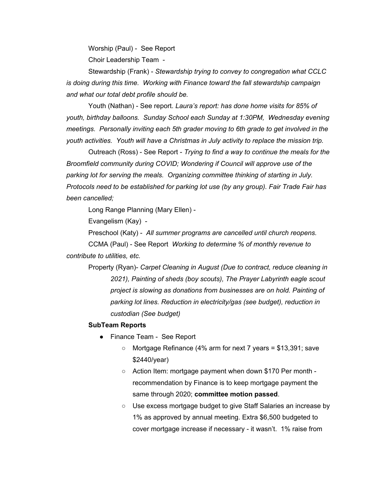Worship (Paul) - See Report

Choir Leadership Team -

Stewardship (Frank) - *Stewardship trying to convey to congregation what CCLC is doing during this time. Working with Finance toward the fall stewardship campaign and what our total debt profile should be.*

Youth (Nathan) - See report. *Laura's report: has done home visits for 85% of youth, birthday balloons. Sunday School each Sunday at 1:30PM, Wednesday evening meetings. Personally inviting each 5th grader moving to 6th grade to get involved in the youth activities. Youth will have a Christmas in July activity to replace the mission trip.*

Outreach (Ross) - See Report - *Trying to find a way to continue the meals for the Broomfield community during COVID; Wondering if Council will approve use of the parking lot for serving the meals. Organizing committee thinking of starting in July. Protocols need to be established for parking lot use (by any group). Fair Trade Fair has been cancelled;*

Long Range Planning (Mary Ellen) -

Evangelism (Kay) -

Preschool (Katy) - *All summer programs are cancelled until church reopens.*

CCMA (Paul) - See Report *Working to determine % of monthly revenue to contribute to utilities, etc.*

Property (Ryan)- *Carpet Cleaning in August (Due to contract, reduce cleaning in 2021), Painting of sheds (boy scouts), The Prayer Labyrinth eagle scout project is slowing as donations from businesses are on hold. Painting of parking lot lines. Reduction in electricity/gas (see budget), reduction in custodian (See budget)*

#### **SubTeam Reports**

- Finance Team See Report
	- Mortgage Refinance (4% arm for next 7 years = \$13,391; save \$2440/year)
	- Action Item: mortgage payment when down \$170 Per month recommendation by Finance is to keep mortgage payment the same through 2020; **committee motion passed**.
	- Use excess mortgage budget to give Staff Salaries an increase by 1% as approved by annual meeting. Extra \$6,500 budgeted to cover mortgage increase if necessary - it wasn't. 1% raise from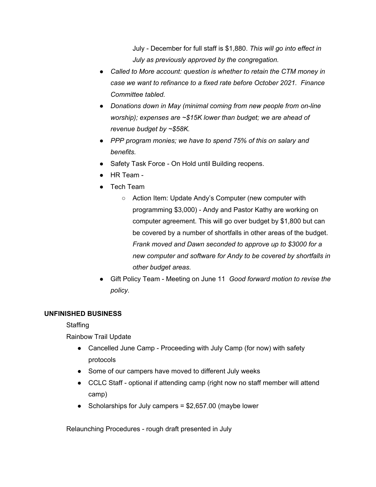July - December for full staff is \$1,880. *This will go into effect in July as previously approved by the congregation.*

- *● Called to More account: question is whether to retain the CTM money in case we want to refinance to a fixed rate before October 2021. Finance Committee tabled.*
- *● Donations down in May (minimal coming from new people from on-line worship); expenses are ~\$15K lower than budget; we are ahead of revenue budget by ~\$58K.*
- *● PPP program monies; we have to spend 75% of this on salary and benefits.*
- Safety Task Force On Hold until Building reopens.
- HR Team -
- Tech Team
	- Action Item: Update Andy's Computer (new computer with programming \$3,000) - Andy and Pastor Kathy are working on computer agreement. This will go over budget by \$1,800 but can be covered by a number of shortfalls in other areas of the budget. *Frank moved and Dawn seconded to approve up to \$3000 for a new computer and software for Andy to be covered by shortfalls in other budget areas.*
- Gift Policy Team Meeting on June 11 *Good forward motion to revise the policy.*

## **UNFINISHED BUSINESS**

**Staffing** 

Rainbow Trail Update

- Cancelled June Camp Proceeding with July Camp (for now) with safety protocols
- Some of our campers have moved to different July weeks
- CCLC Staff optional if attending camp (right now no staff member will attend camp)
- Scholarships for July campers = \$2,657.00 (maybe lower

Relaunching Procedures - rough draft presented in July